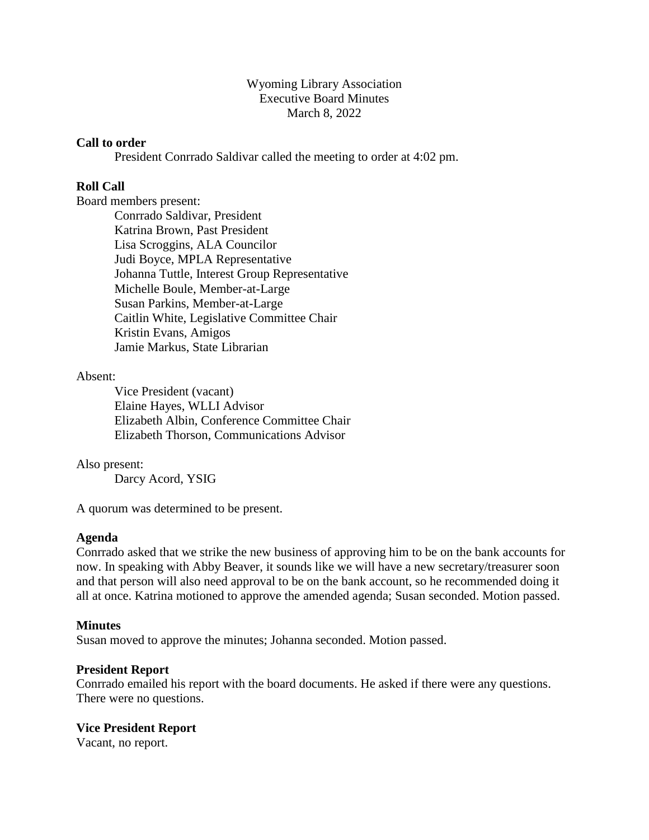### Wyoming Library Association Executive Board Minutes March 8, 2022

### **Call to order**

President Conrrado Saldivar called the meeting to order at 4:02 pm.

### **Roll Call**

Board members present:

Conrrado Saldivar, President Katrina Brown, Past President Lisa Scroggins, ALA Councilor Judi Boyce, MPLA Representative Johanna Tuttle, Interest Group Representative Michelle Boule, Member-at-Large Susan Parkins, Member-at-Large Caitlin White, Legislative Committee Chair Kristin Evans, Amigos Jamie Markus, State Librarian

### Absent:

Vice President (vacant) Elaine Hayes, WLLI Advisor Elizabeth Albin, Conference Committee Chair Elizabeth Thorson, Communications Advisor

### Also present:

Darcy Acord, YSIG

A quorum was determined to be present.

### **Agenda**

Conrrado asked that we strike the new business of approving him to be on the bank accounts for now. In speaking with Abby Beaver, it sounds like we will have a new secretary/treasurer soon and that person will also need approval to be on the bank account, so he recommended doing it all at once. Katrina motioned to approve the amended agenda; Susan seconded. Motion passed.

#### **Minutes**

Susan moved to approve the minutes; Johanna seconded. Motion passed.

#### **President Report**

Conrrado emailed his report with the board documents. He asked if there were any questions. There were no questions.

### **Vice President Report**

Vacant, no report.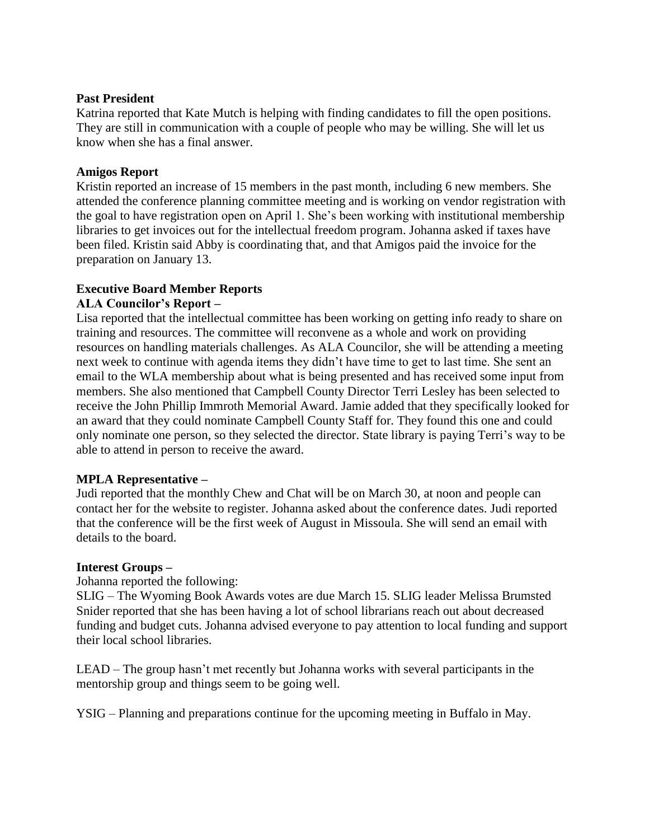### **Past President**

Katrina reported that Kate Mutch is helping with finding candidates to fill the open positions. They are still in communication with a couple of people who may be willing. She will let us know when she has a final answer.

### **Amigos Report**

Kristin reported an increase of 15 members in the past month, including 6 new members. She attended the conference planning committee meeting and is working on vendor registration with the goal to have registration open on April 1. She's been working with institutional membership libraries to get invoices out for the intellectual freedom program. Johanna asked if taxes have been filed. Kristin said Abby is coordinating that, and that Amigos paid the invoice for the preparation on January 13.

### **Executive Board Member Reports**

### **ALA Councilor's Report –**

Lisa reported that the intellectual committee has been working on getting info ready to share on training and resources. The committee will reconvene as a whole and work on providing resources on handling materials challenges. As ALA Councilor, she will be attending a meeting next week to continue with agenda items they didn't have time to get to last time. She sent an email to the WLA membership about what is being presented and has received some input from members. She also mentioned that Campbell County Director Terri Lesley has been selected to receive the John Phillip Immroth Memorial Award. Jamie added that they specifically looked for an award that they could nominate Campbell County Staff for. They found this one and could only nominate one person, so they selected the director. State library is paying Terri's way to be able to attend in person to receive the award.

### **MPLA Representative –**

Judi reported that the monthly Chew and Chat will be on March 30, at noon and people can contact her for the website to register. Johanna asked about the conference dates. Judi reported that the conference will be the first week of August in Missoula. She will send an email with details to the board.

#### **Interest Groups –**

Johanna reported the following:

SLIG – The Wyoming Book Awards votes are due March 15. SLIG leader Melissa Brumsted Snider reported that she has been having a lot of school librarians reach out about decreased funding and budget cuts. Johanna advised everyone to pay attention to local funding and support their local school libraries.

LEAD – The group hasn't met recently but Johanna works with several participants in the mentorship group and things seem to be going well.

YSIG – Planning and preparations continue for the upcoming meeting in Buffalo in May.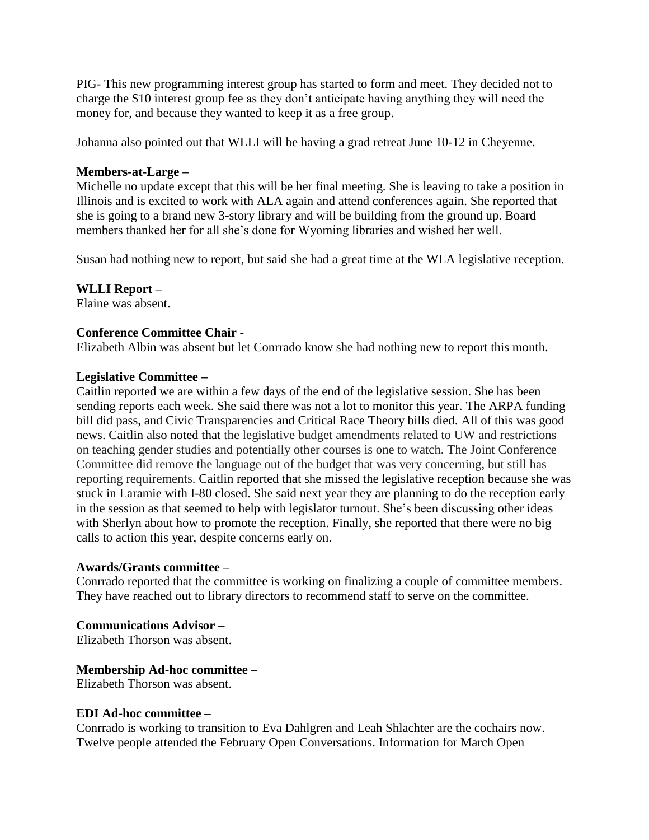PIG- This new programming interest group has started to form and meet. They decided not to charge the \$10 interest group fee as they don't anticipate having anything they will need the money for, and because they wanted to keep it as a free group.

Johanna also pointed out that WLLI will be having a grad retreat June 10-12 in Cheyenne.

### **Members-at-Large –**

Michelle no update except that this will be her final meeting. She is leaving to take a position in Illinois and is excited to work with ALA again and attend conferences again. She reported that she is going to a brand new 3-story library and will be building from the ground up. Board members thanked her for all she's done for Wyoming libraries and wished her well.

Susan had nothing new to report, but said she had a great time at the WLA legislative reception.

## **WLLI Report –**

Elaine was absent.

### **Conference Committee Chair -**

Elizabeth Albin was absent but let Conrrado know she had nothing new to report this month.

### **Legislative Committee –**

Caitlin reported we are within a few days of the end of the legislative session. She has been sending reports each week. She said there was not a lot to monitor this year. The ARPA funding bill did pass, and Civic Transparencies and Critical Race Theory bills died. All of this was good news. Caitlin also noted that the legislative budget amendments related to UW and restrictions on teaching gender studies and potentially other courses is one to watch. The Joint Conference Committee did remove the language out of the budget that was very concerning, but still has reporting requirements. Caitlin reported that she missed the legislative reception because she was stuck in Laramie with I-80 closed. She said next year they are planning to do the reception early in the session as that seemed to help with legislator turnout. She's been discussing other ideas with Sherlyn about how to promote the reception. Finally, she reported that there were no big calls to action this year, despite concerns early on.

### **Awards/Grants committee –**

Conrrado reported that the committee is working on finalizing a couple of committee members. They have reached out to library directors to recommend staff to serve on the committee.

# **Communications Advisor –**

Elizabeth Thorson was absent.

### **Membership Ad-hoc committee –**

Elizabeth Thorson was absent.

### **EDI Ad-hoc committee –**

Conrrado is working to transition to Eva Dahlgren and [Leah Shlachter](mailto:lshlachter@tclib.org) are the cochairs now. Twelve people attended the February Open Conversations. Information for March Open